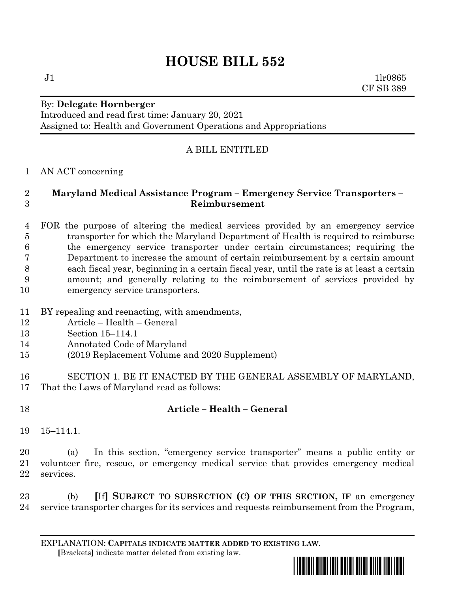# **HOUSE BILL 552**

By: **Delegate Hornberger**

Introduced and read first time: January 20, 2021 Assigned to: Health and Government Operations and Appropriations

# A BILL ENTITLED

AN ACT concerning

### **Maryland Medical Assistance Program – Emergency Service Transporters – Reimbursement**

 FOR the purpose of altering the medical services provided by an emergency service transporter for which the Maryland Department of Health is required to reimburse the emergency service transporter under certain circumstances; requiring the Department to increase the amount of certain reimbursement by a certain amount each fiscal year, beginning in a certain fiscal year, until the rate is at least a certain amount; and generally relating to the reimbursement of services provided by emergency service transporters.

- BY repealing and reenacting, with amendments,
- Article Health General
- Section 15–114.1
- Annotated Code of Maryland
- (2019 Replacement Volume and 2020 Supplement)
- SECTION 1. BE IT ENACTED BY THE GENERAL ASSEMBLY OF MARYLAND, That the Laws of Maryland read as follows:
- 

# **Article – Health – General**

15–114.1.

 (a) In this section, "emergency service transporter" means a public entity or volunteer fire, rescue, or emergency medical service that provides emergency medical services.

 (b) **[**If**] SUBJECT TO SUBSECTION (C) OF THIS SECTION, IF** an emergency service transporter charges for its services and requests reimbursement from the Program,

EXPLANATION: **CAPITALS INDICATE MATTER ADDED TO EXISTING LAW**.  **[**Brackets**]** indicate matter deleted from existing law.



 $J1$   $1lr0865$ CF SB 389